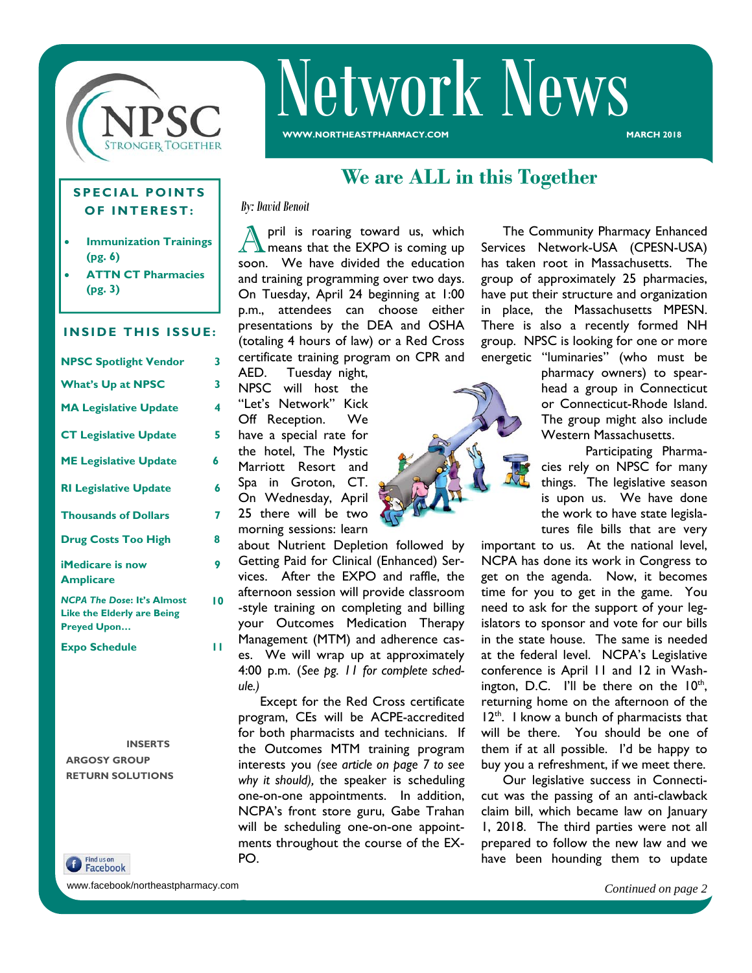

# Network News

**WWW.NORTHEASTPHARMACY.COM** 

#### **SPECIAL POINTS OF INTEREST:**

- **Immunization Trainings (pg. 6)**
- **ATTN CT Pharmacies (pg. 3)**

#### **INSIDE THIS ISSUE:**

| <b>NPSC Spotlight Vendor</b>                                                                 | 3  |
|----------------------------------------------------------------------------------------------|----|
| <b>What's Up at NPSC</b>                                                                     | 3  |
| <b>MA Legislative Update</b>                                                                 | 4  |
| <b>CT Legislative Update</b>                                                                 | 5  |
| <b>ME Legislative Update</b>                                                                 | 6  |
| <b>RI Legislative Update</b>                                                                 | 6  |
| <b>Thousands of Dollars</b>                                                                  | 7  |
| <b>Drug Costs Too High</b>                                                                   | ጸ  |
| <b>iMedicare is now</b><br><b>Amplicare</b>                                                  | 9  |
| <b>NCPA The Dose: It's Almost</b><br><b>Like the Elderly are Being</b><br><b>Preyed Upon</b> | 10 |
| <b>Expo Schedule</b>                                                                         |    |

 **INSERTS ARGOSY GROUP RETURN SOLUTIONS** 

**f** Find us on

www.facebook/northeastpharmacy.com

## **We are ALL in this Together**

*By: David Benoit* 

pril is roaring toward us, which means that the EXPO is coming up soon. We have divided the education and training programming over two days. On Tuesday, April 24 beginning at 1:00 p.m., attendees can choose either presentations by the DEA and OSHA (totaling 4 hours of law) or a Red Cross certificate training program on CPR and

AED. Tuesday night, NPSC will host the "Let's Network" Kick Off Reception. We have a special rate for the hotel, The Mystic Marriott Resort and Spa in Groton, CT. On Wednesday, April 25 there will be two morning sessions: learn

about Nutrient Depletion followed by Getting Paid for Clinical (Enhanced) Services. After the EXPO and raffle, the afternoon session will provide classroom -style training on completing and billing your Outcomes Medication Therapy Management (MTM) and adherence cases. We will wrap up at approximately 4:00 p.m. (*See pg. 11 for complete schedule.)*

 Except for the Red Cross certificate program, CEs will be ACPE-accredited for both pharmacists and technicians. If the Outcomes MTM training program interests you *(see article on page 7 to see why it should),* the speaker is scheduling one-on-one appointments. In addition, NCPA's front store guru, Gabe Trahan will be scheduling one-on-one appointments throughout the course of the EX-PO.

 The Community Pharmacy Enhanced Services Network-USA (CPESN-USA) has taken root in Massachusetts. The group of approximately 25 pharmacies, have put their structure and organization in place, the Massachusetts MPESN. There is also a recently formed NH group. NPSC is looking for one or more energetic "luminaries" (who must be

pharmacy owners) to spearhead a group in Connecticut or Connecticut-Rhode Island. The group might also include Western Massachusetts.

 Participating Pharmacies rely on NPSC for many things. The legislative season is upon us. We have done the work to have state legislatures file bills that are very

important to us. At the national level, NCPA has done its work in Congress to get on the agenda. Now, it becomes time for you to get in the game. You need to ask for the support of your legislators to sponsor and vote for our bills in the state house. The same is needed at the federal level. NCPA's Legislative conference is April 11 and 12 in Washington, D.C. I'll be there on the  $10<sup>th</sup>$ , returning home on the afternoon of the  $12<sup>th</sup>$ . I know a bunch of pharmacists that will be there. You should be one of them if at all possible. I'd be happy to buy you a refreshment, if we meet there.

 Our legislative success in Connecticut was the passing of an anti-clawback claim bill, which became law on January 1, 2018. The third parties were not all prepared to follow the new law and we have been hounding them to update

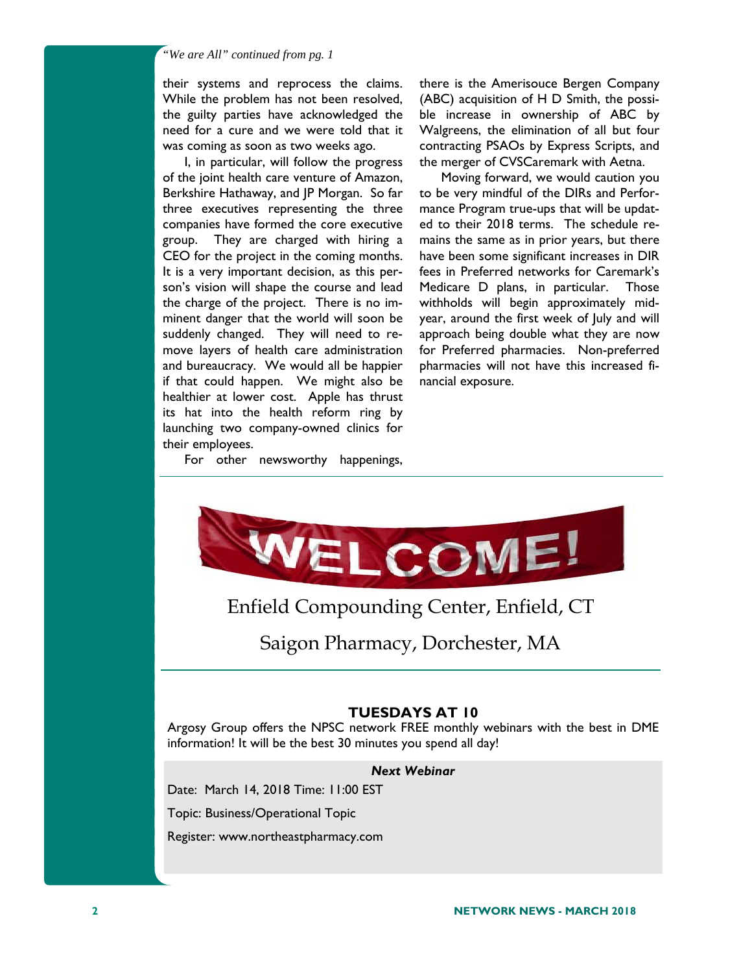#### *"We are All" continued from pg. 1*

their systems and reprocess the claims. While the problem has not been resolved, the guilty parties have acknowledged the need for a cure and we were told that it was coming as soon as two weeks ago.

 I, in particular, will follow the progress of the joint health care venture of Amazon, Berkshire Hathaway, and JP Morgan. So far three executives representing the three companies have formed the core executive group. They are charged with hiring a CEO for the project in the coming months. It is a very important decision, as this person's vision will shape the course and lead the charge of the project. There is no imminent danger that the world will soon be suddenly changed. They will need to remove layers of health care administration and bureaucracy. We would all be happier if that could happen. We might also be healthier at lower cost. Apple has thrust its hat into the health reform ring by launching two company-owned clinics for their employees.

there is the Amerisouce Bergen Company (ABC) acquisition of H D Smith, the possible increase in ownership of ABC by Walgreens, the elimination of all but four contracting PSAOs by Express Scripts, and the merger of CVSCaremark with Aetna.

 Moving forward, we would caution you to be very mindful of the DIRs and Performance Program true-ups that will be updated to their 2018 terms. The schedule remains the same as in prior years, but there have been some significant increases in DIR fees in Preferred networks for Caremark's Medicare D plans, in particular. Those withholds will begin approximately midyear, around the first week of July and will approach being double what they are now for Preferred pharmacies. Non-preferred pharmacies will not have this increased financial exposure.

For other newsworthy happenings,

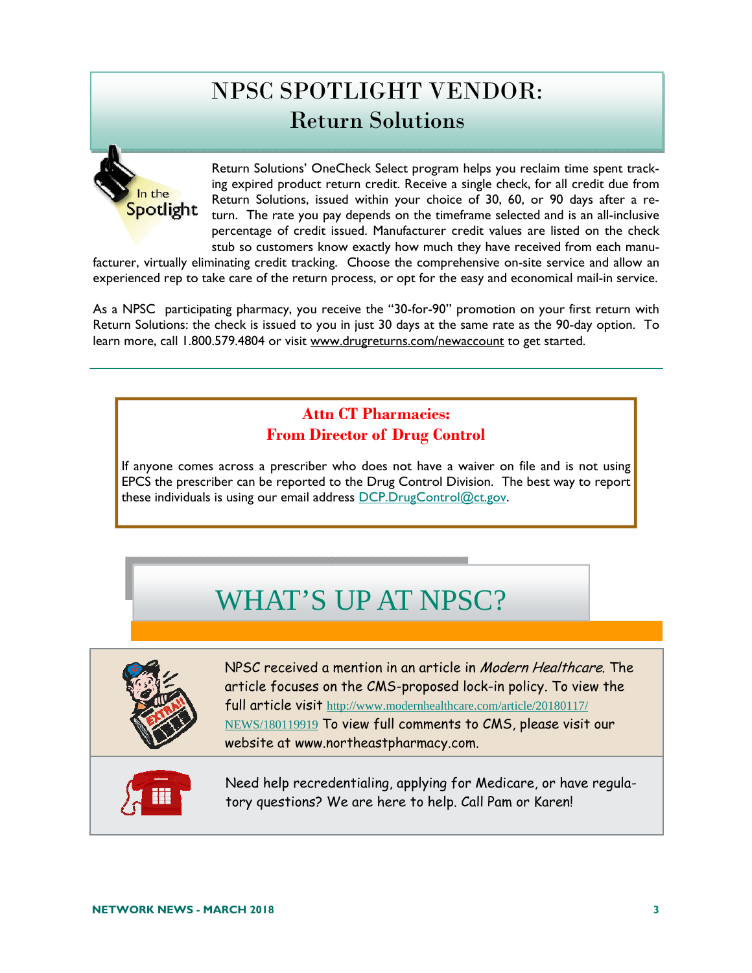# NPSC SPOTLIGHT VENDOR: Return Solutions



Return Solutions' OneCheck Select program helps you reclaim time spent tracking expired product return credit. Receive a single check, for all credit due from Return Solutions, issued within your choice of 30, 60, or 90 days after a return. The rate you pay depends on the timeframe selected and is an all-inclusive percentage of credit issued. Manufacturer credit values are listed on the check stub so customers know exactly how much they have received from each manu-

facturer, virtually eliminating credit tracking. Choose the comprehensive on-site service and allow an experienced rep to take care of the return process, or opt for the easy and economical mail-in service.

As a NPSC participating pharmacy, you receive the "30-for-90" promotion on your first return with Return Solutions: the check is issued to you in just 30 days at the same rate as the 90-day option. To learn more, call 1.800.579.4804 or visit www.drugreturns.com/newaccount to get started.

## **Attn CT Pharmacies: From Director of Drug Control**

If anyone comes across a prescriber who does not have a waiver on file and is not using EPCS the prescriber can be reported to the Drug Control Division. The best way to report these individuals is using our email address DCP.DrugControl@ct.gov.

# WHAT'S UP AT NPSC?



NPSC received a mention in an article in Modern Healthcare. The article focuses on the CMS-proposed lock-in policy. To view the full article visit http://www.modernhealthcare.com/article/20180117/ NEWS/180119919 To view full comments to CMS, please visit our website at www.northeastpharmacy.com.



Need help recredentialing, applying for Medicare, or have regulatory questions? We are here to help. Call Pam or Karen!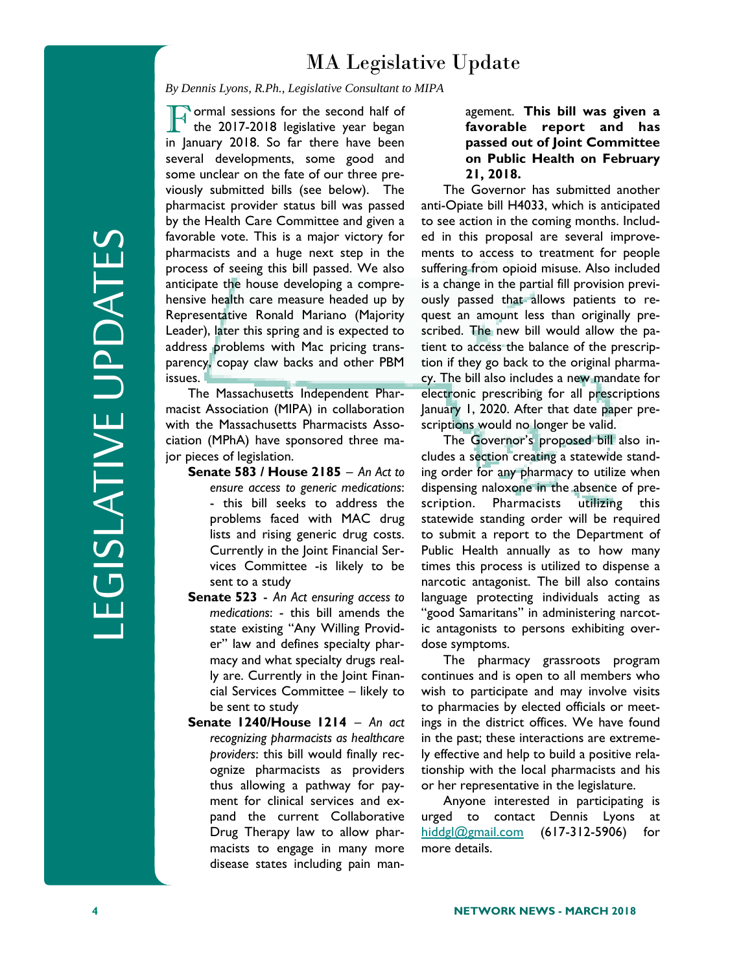## MA Legislative Update

*By Dennis Lyons, R.Ph., Legislative Consultant to MIPA* 

F ormal sessions for the second half of<br>the 2017-2018 legislative year began in January 2018. So far there have been several developments, some good and some unclear on the fate of our three previously submitted bills (see below). The pharmacist provider status bill was passed by the Health Care Committee and given a favorable vote. This is a major victory for pharmacists and a huge next step in the process of seeing this bill passed. We also anticipate the house developing a comprehensive health care measure headed up by Representative Ronald Mariano (Majority Leader), later this spring and is expected to address problems with Mac pricing transparency, copay claw backs and other PBM issues.

 The Massachusetts Independent Pharmacist Association (MIPA) in collaboration with the Massachusetts Pharmacists Association (MPhA) have sponsored three major pieces of legislation.

- **Senate 583 / House 2185** *An Act to ensure access to generic medications*: - this bill seeks to address the problems faced with MAC drug lists and rising generic drug costs. Currently in the Joint Financial Services Committee -is likely to be sent to a study
- **Senate 523** *An Act ensuring access to medications*: - this bill amends the state existing "Any Willing Provider" law and defines specialty pharmacy and what specialty drugs really are. Currently in the Joint Financial Services Committee – likely to be sent to study
- **Senate 1240/House 1214** *An act recognizing pharmacists as healthcare providers*: this bill would finally recognize pharmacists as providers thus allowing a pathway for payment for clinical services and expand the current Collaborative Drug Therapy law to allow pharmacists to engage in many more disease states including pain man-

#### agement. **This bill was given a favorable report and has passed out of Joint Committee on Public Health on February 21, 2018.**

 The Governor has submitted another anti-Opiate bill H4033, which is anticipated to see action in the coming months. Included in this proposal are several improvements to access to treatment for people suffering from opioid misuse. Also included is a change in the partial fill provision previously passed that allows patients to request an amount less than originally prescribed. The new bill would allow the patient to access the balance of the prescription if they go back to the original pharmacy. The bill also includes a new mandate for electronic prescribing for all prescriptions January 1, 2020. After that date paper prescriptions would no longer be valid.

 The Governor's proposed bill also includes a section creating a statewide standing order for any pharmacy to utilize when dispensing naloxone in the absence of prescription. Pharmacists utilizing this statewide standing order will be required to submit a report to the Department of Public Health annually as to how many times this process is utilized to dispense a narcotic antagonist. The bill also contains language protecting individuals acting as "good Samaritans" in administering narcotic antagonists to persons exhibiting overdose symptoms.

 The pharmacy grassroots program continues and is open to all members who wish to participate and may involve visits to pharmacies by elected officials or meetings in the district offices. We have found in the past; these interactions are extremely effective and help to build a positive relationship with the local pharmacists and his or her representative in the legislature.

 Anyone interested in participating is urged to contact Dennis Lyons at hiddgl@gmail.com (617-312-5906) for more details.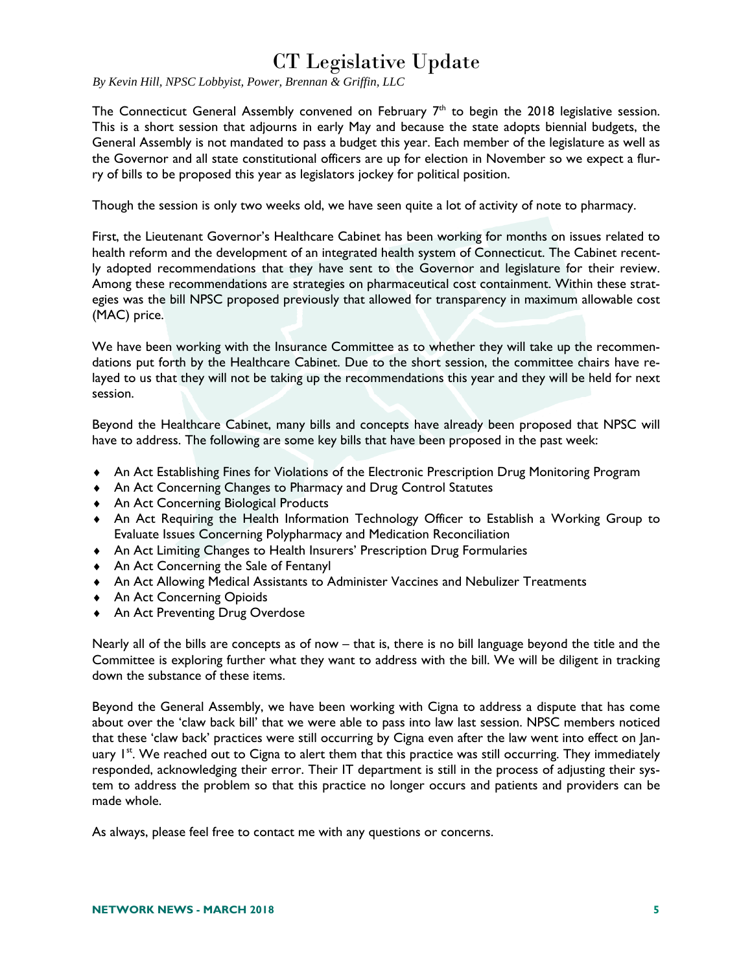## CT Legislative Update

*By Kevin Hill, NPSC Lobbyist, Power, Brennan & Griffin, LLC* 

The Connecticut General Assembly convened on February  $7<sup>th</sup>$  to begin the 2018 legislative session. This is a short session that adjourns in early May and because the state adopts biennial budgets, the General Assembly is not mandated to pass a budget this year. Each member of the legislature as well as the Governor and all state constitutional officers are up for election in November so we expect a flurry of bills to be proposed this year as legislators jockey for political position.

Though the session is only two weeks old, we have seen quite a lot of activity of note to pharmacy.

First, the Lieutenant Governor's Healthcare Cabinet has been working for months on issues related to health reform and the development of an integrated health system of Connecticut. The Cabinet recently adopted recommendations that they have sent to the Governor and legislature for their review. Among these recommendations are strategies on pharmaceutical cost containment. Within these strategies was the bill NPSC proposed previously that allowed for transparency in maximum allowable cost (MAC) price.

We have been working with the Insurance Committee as to whether they will take up the recommendations put forth by the Healthcare Cabinet. Due to the short session, the committee chairs have relayed to us that they will not be taking up the recommendations this year and they will be held for next session.

Beyond the Healthcare Cabinet, many bills and concepts have already been proposed that NPSC will have to address. The following are some key bills that have been proposed in the past week:

- An Act Establishing Fines for Violations of the Electronic Prescription Drug Monitoring Program
- An Act Concerning Changes to Pharmacy and Drug Control Statutes
- ◆ An Act Concerning Biological Products
- An Act Requiring the Health Information Technology Officer to Establish a Working Group to Evaluate Issues Concerning Polypharmacy and Medication Reconciliation
- An Act Limiting Changes to Health Insurers' Prescription Drug Formularies
- An Act Concerning the Sale of Fentanyl
- An Act Allowing Medical Assistants to Administer Vaccines and Nebulizer Treatments
- ◆ An Act Concerning Opioids
- ◆ An Act Preventing Drug Overdose

Nearly all of the bills are concepts as of now – that is, there is no bill language beyond the title and the Committee is exploring further what they want to address with the bill. We will be diligent in tracking down the substance of these items.

Beyond the General Assembly, we have been working with Cigna to address a dispute that has come about over the 'claw back bill' that we were able to pass into law last session. NPSC members noticed that these 'claw back' practices were still occurring by Cigna even after the law went into effect on January  $1^{st}$ . We reached out to Cigna to alert them that this practice was still occurring. They immediately responded, acknowledging their error. Their IT department is still in the process of adjusting their system to address the problem so that this practice no longer occurs and patients and providers can be made whole.

As always, please feel free to contact me with any questions or concerns.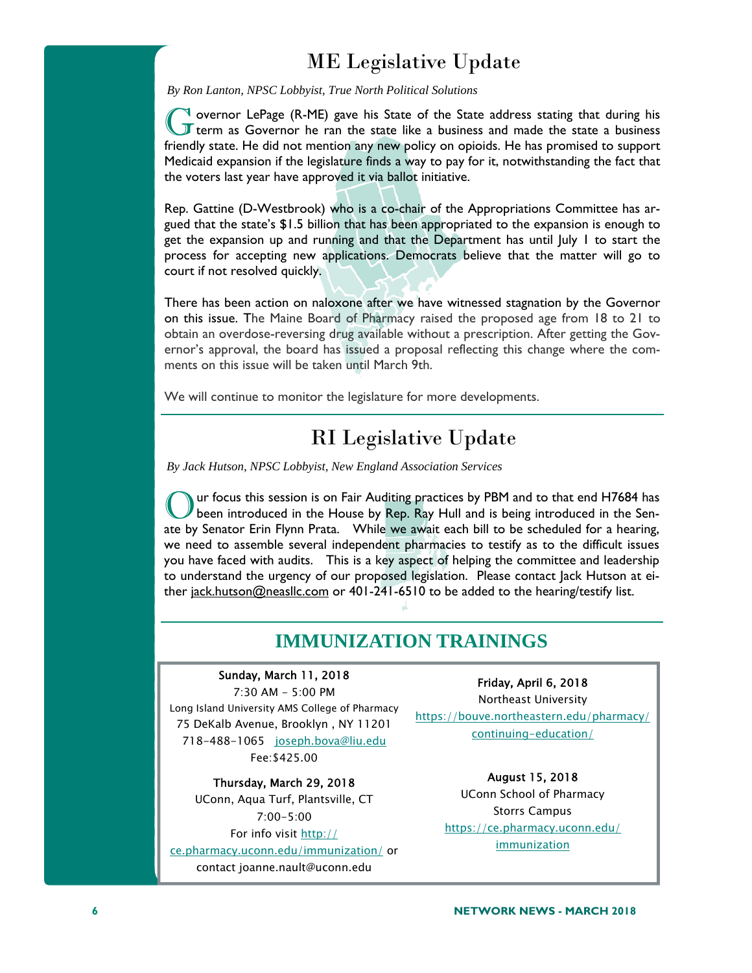## ME Legislative Update

*By Ron Lanton, NPSC Lobbyist, True North Political Solutions* 

 $\mathbb{I}$  overnor LePage (R-ME) gave his State of the State address stating that during his **I** term as Governor he ran the state like a business and made the state a business friendly state. He did not mention any new policy on opioids. He has promised to support Medicaid expansion if the legislature finds a way to pay for it, notwithstanding the fact that the voters last year have approved it via ballot initiative.

Rep. Gattine (D-Westbrook) who is a co-chair of the Appropriations Committee has argued that the state's \$1.5 billion that has been appropriated to the expansion is enough to get the expansion up and running and that the Department has until July 1 to start the process for accepting new applications. Democrats believe that the matter will go to court if not resolved quickly.

There has been action on naloxone after we have witnessed stagnation by the Governor on this issue. The Maine Board of Pharmacy raised the proposed age from 18 to 21 to obtain an overdose-reversing drug available without a prescription. After getting the Governor's approval, the board has issued a proposal reflecting this change where the comments on this issue will be taken until March 9th.

We will continue to monitor the legislature for more developments.

## RI Legislative Update

*By Jack Hutson, NPSC Lobbyist, New England Association Services* 

Our focus this session is on Fair Auditing practices by PBM and to that end H7684 has been introduced in the House by Rep. Ray Hull and is being introduced in the Senate by Senator Erin Flynn Prata. While we await each bill to be scheduled for a hearing, we need to assemble several independent pharmacies to testify as to the difficult issues you have faced with audits. This is a key aspect of helping the committee and leadership to understand the urgency of our proposed legislation. Please contact Jack Hutson at either jack.hutson@neasllc.com or 401-241-6510 to be added to the hearing/testify list.

## **IMMUNIZATION TRAININGS**

#### Sunday, March 11, 2018

7:30 AM - 5:00 PM Long Island University AMS College of Pharmacy 75 DeKalb Avenue, Brooklyn , NY 11201 718-488-1065 joseph.bova@liu.edu Fee:\$425.00

Thursday, March 29, 2018 UConn, Aqua Turf, Plantsville, CT 7:00-5:00 For info visit http:// ce.pharmacy.uconn.edu/immunization/ or contact joanne.nault@uconn.edu

Friday, April 6, 2018 Northeast University

https://bouve.northeastern.edu/pharmacy/ continuing-education/

> August 15, 2018 UConn School of Pharmacy Storrs Campus https://ce.pharmacy.uconn.edu/ **immunization**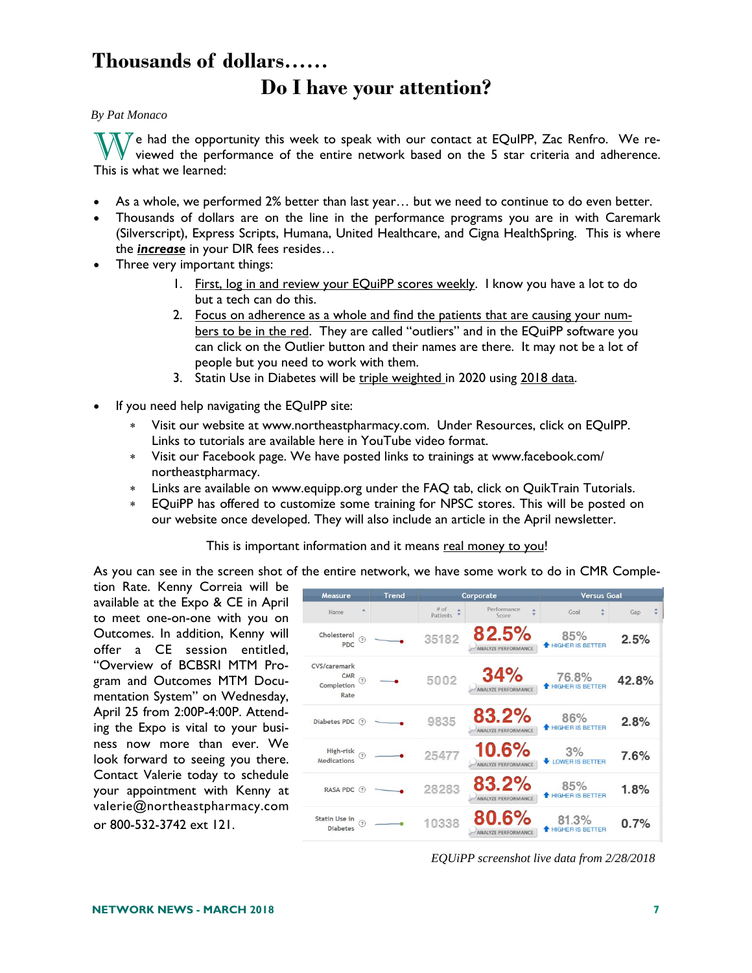## **Thousands of dollars…… Do I have your attention?**

#### *By Pat Monaco*

We had the opportunity this week to speak with our contact at EQuIPP, Zac Renfro. We re-<br>viewed the performance of the entire network based on the 5 star criteria and adherence. This is what we learned:

- As a whole, we performed 2% better than last year… but we need to continue to do even better.
- Thousands of dollars are on the line in the performance programs you are in with Caremark (Silverscript), Express Scripts, Humana, United Healthcare, and Cigna HealthSpring. This is where the *increase* in your DIR fees resides…
- Three very important things:
	- 1. First, log in and review your EQuiPP scores weekly. I know you have a lot to do but a tech can do this.
	- 2. Focus on adherence as a whole and find the patients that are causing your numbers to be in the red. They are called "outliers" and in the EQuiPP software you can click on the Outlier button and their names are there. It may not be a lot of people but you need to work with them.
	- 3. Statin Use in Diabetes will be triple weighted in 2020 using 2018 data.
- If you need help navigating the EQuIPP site:
	- Visit our website at www.northeastpharmacy.com. Under Resources, click on EQuIPP. Links to tutorials are available here in YouTube video format.
	- Visit our Facebook page. We have posted links to trainings at www.facebook.com/ northeastpharmacy.
	- Links are available on www.equipp.org under the FAQ tab, click on QuikTrain Tutorials.
	- EQuiPP has offered to customize some training for NPSC stores. This will be posted on our website once developed. They will also include an article in the April newsletter.

This is important information and it means real money to you!

As you can see in the screen shot of the entire network, we have some work to do in CMR Comple-

tion Rate. Kenny Correia will be available at the Expo & CE in April to meet one-on-one with you on Outcomes. In addition, Kenny will offer a CE session entitled, "Overview of BCBSRI MTM Program and Outcomes MTM Documentation System" on Wednesday, April 25 from 2:00P-4:00P. Attending the Expo is vital to your business now more than ever. We look forward to seeing you there. Contact Valerie today to schedule your appointment with Kenny at valerie@northeastpharmacy.com or 800-532-3742 ext 121.

| Measure                                                     | <b>Trend</b> |                    | Corporate                           | <b>Versus Goal</b>               |       |
|-------------------------------------------------------------|--------------|--------------------|-------------------------------------|----------------------------------|-------|
| A<br>Name                                                   |              | $#$ of<br>Patients | Performance<br>Score                | ÷.<br>Goal                       | Gap   |
| Cholesterol<br>$\circledR$<br>PDC                           |              | 35182              | 82.5%<br><b>ANALYZE PERFORMANCE</b> | 85%<br><b>+ HIGHER IS BETTER</b> | 2.5%  |
| CVS/caremark<br><b>CMR</b><br>(7)<br>Completion<br>Rate     |              | 5002               | 34%                                 | 76.8%<br><b>HIGHER IS BETTER</b> | 42.8% |
| <b>Diabetes PDC</b><br>(2)                                  |              | 9835               | 83.2%<br><b>ANALYZE PERFORMANCE</b> | 86%<br>HIGHER IS BETTER          | 2.8%  |
| High-risk<br>(2)<br>Medications                             |              | 25477              | 10.6%<br>ANALYZE PERFORMANCE        | 3%<br><b>UOWER IS BETTER</b>     | 7.6%  |
| RASA PDC (?)                                                |              | 28283              | 83.2%<br>ANALYZE PERFORMANCE        | 85%<br>HIGHER IS BETTER          | 1.8%  |
| Statin Use in<br>$\widehat{\mathcal{F}}$<br><b>Diabetes</b> |              | 10338              | 80.6%<br>ANALYZE PERFORMANCE        | 81.3%<br>HIGHER IS BETTER        | 0.7%  |

*EQUiPP screenshot live data from 2/28/2018*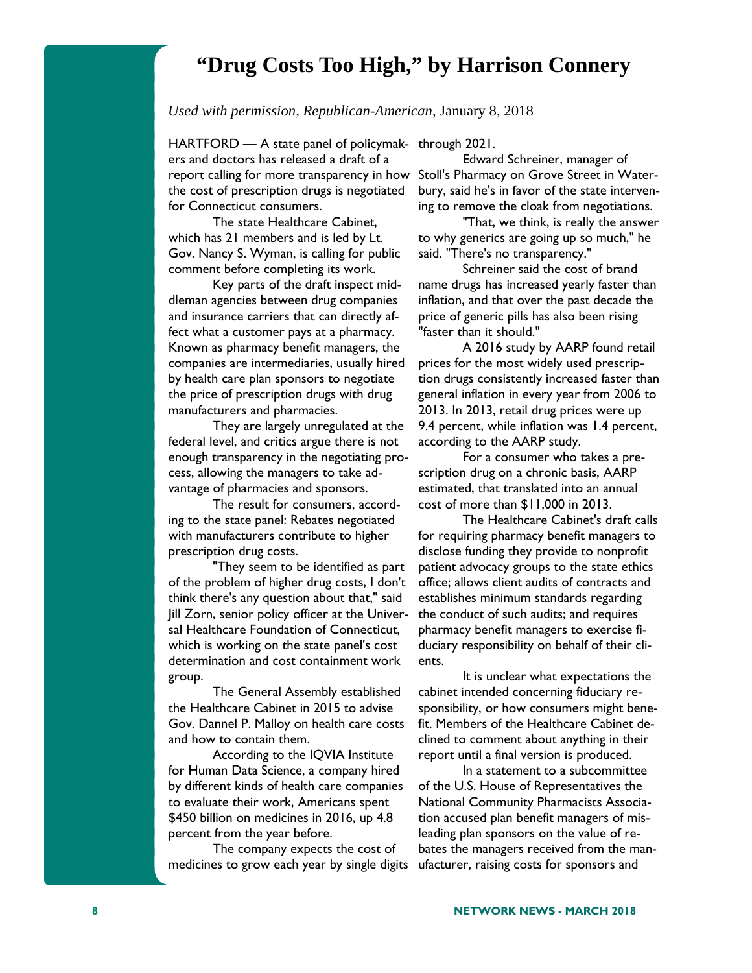## **"Drug Costs Too High," by Harrison Connery**

*Used with permission, Republican-American*, January 8, 2018

HARTFORD — A state panel of policymak-through 2021. ers and doctors has released a draft of a report calling for more transparency in how Stoll's Pharmacy on Grove Street in Waterthe cost of prescription drugs is negotiated for Connecticut consumers.

The state Healthcare Cabinet, which has 21 members and is led by Lt. Gov. Nancy S. Wyman, is calling for public comment before completing its work.

Key parts of the draft inspect middleman agencies between drug companies and insurance carriers that can directly affect what a customer pays at a pharmacy. Known as pharmacy benefit managers, the companies are intermediaries, usually hired by health care plan sponsors to negotiate the price of prescription drugs with drug manufacturers and pharmacies.

They are largely unregulated at the federal level, and critics argue there is not enough transparency in the negotiating process, allowing the managers to take advantage of pharmacies and sponsors.

The result for consumers, according to the state panel: Rebates negotiated with manufacturers contribute to higher prescription drug costs.

"They seem to be identified as part of the problem of higher drug costs, I don't think there's any question about that," said Jill Zorn, senior policy officer at the Universal Healthcare Foundation of Connecticut, which is working on the state panel's cost determination and cost containment work group.

The General Assembly established the Healthcare Cabinet in 2015 to advise Gov. Dannel P. Malloy on health care costs and how to contain them.

According to the IQVIA Institute for Human Data Science, a company hired by different kinds of health care companies to evaluate their work, Americans spent \$450 billion on medicines in 2016, up 4.8 percent from the year before.

The company expects the cost of medicines to grow each year by single digits

Edward Schreiner, manager of bury, said he's in favor of the state intervening to remove the cloak from negotiations.

"That, we think, is really the answer to why generics are going up so much," he said. "There's no transparency."

Schreiner said the cost of brand name drugs has increased yearly faster than inflation, and that over the past decade the price of generic pills has also been rising "faster than it should."

A 2016 study by AARP found retail prices for the most widely used prescription drugs consistently increased faster than general inflation in every year from 2006 to 2013. In 2013, retail drug prices were up 9.4 percent, while inflation was 1.4 percent, according to the AARP study.

For a consumer who takes a prescription drug on a chronic basis, AARP estimated, that translated into an annual cost of more than \$11,000 in 2013.

The Healthcare Cabinet's draft calls for requiring pharmacy benefit managers to disclose funding they provide to nonprofit patient advocacy groups to the state ethics office; allows client audits of contracts and establishes minimum standards regarding the conduct of such audits; and requires pharmacy benefit managers to exercise fiduciary responsibility on behalf of their clients.

It is unclear what expectations the cabinet intended concerning fiduciary responsibility, or how consumers might benefit. Members of the Healthcare Cabinet declined to comment about anything in their report until a final version is produced.

In a statement to a subcommittee of the U.S. House of Representatives the National Community Pharmacists Association accused plan benefit managers of misleading plan sponsors on the value of rebates the managers received from the manufacturer, raising costs for sponsors and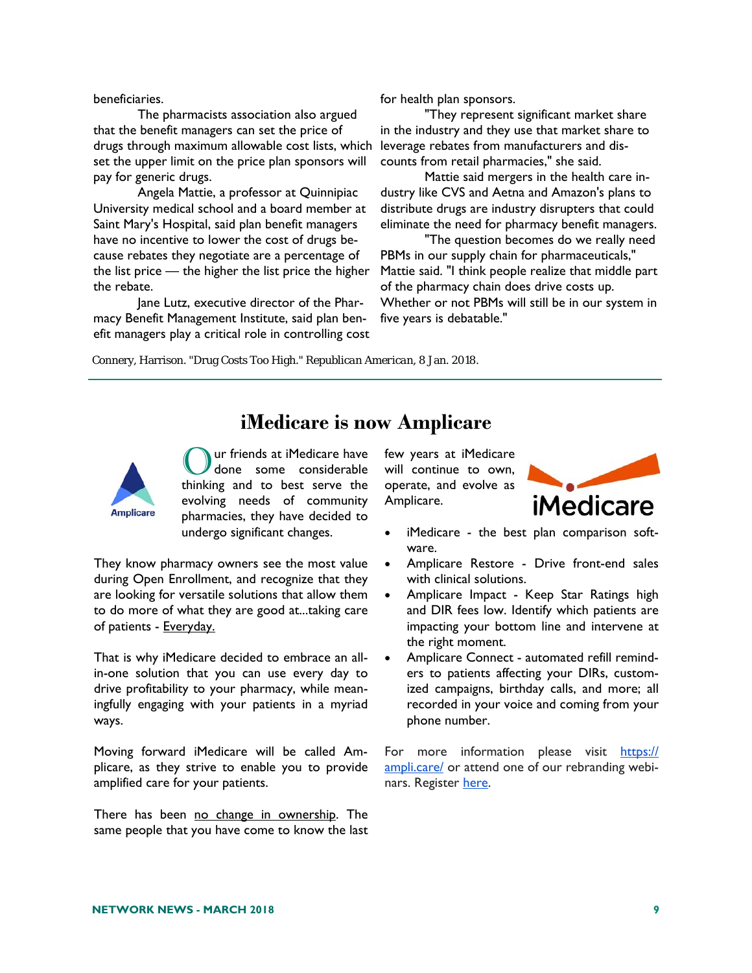#### beneficiaries.

The pharmacists association also argued that the benefit managers can set the price of drugs through maximum allowable cost lists, which set the upper limit on the price plan sponsors will pay for generic drugs.

Angela Mattie, a professor at Quinnipiac University medical school and a board member at Saint Mary's Hospital, said plan benefit managers have no incentive to lower the cost of drugs because rebates they negotiate are a percentage of the list price — the higher the list price the higher the rebate.

Jane Lutz, executive director of the Pharmacy Benefit Management Institute, said plan benefit managers play a critical role in controlling cost for health plan sponsors.

"They represent significant market share in the industry and they use that market share to leverage rebates from manufacturers and discounts from retail pharmacies," she said.

Mattie said mergers in the health care industry like CVS and Aetna and Amazon's plans to distribute drugs are industry disrupters that could eliminate the need for pharmacy benefit managers.

"The question becomes do we really need PBMs in our supply chain for pharmaceuticals," Mattie said. "I think people realize that middle part of the pharmacy chain does drive costs up. Whether or not PBMs will still be in our system in five years is debatable."

Connery, Harrison. "Drug Costs Too High." *Republican American*, 8 Jan. 2018.

## **iMedicare is now Amplicare**



ur friends at iMedicare have done some considerable thinking and to best serve the evolving needs of community pharmacies, they have decided to undergo significant changes.

They know pharmacy owners see the most value during Open Enrollment, and recognize that they are looking for versatile solutions that allow them to do more of what they are good at...taking care of patients - Everyday.

That is why iMedicare decided to embrace an allin-one solution that you can use every day to drive profitability to your pharmacy, while meaningfully engaging with your patients in a myriad ways.

Moving forward iMedicare will be called Amplicare, as they strive to enable you to provide amplified care for your patients.

There has been no change in ownership. The same people that you have come to know the last few years at iMedicare will continue to own, operate, and evolve as Amplicare.



- iMedicare the best plan comparison software.
- Amplicare Restore Drive front-end sales with clinical solutions.
- Amplicare Impact Keep Star Ratings high and DIR fees low. Identify which patients are impacting your bottom line and intervene at the right moment.
- Amplicare Connect automated refill reminders to patients affecting your DIRs, customized campaigns, birthday calls, and more; all recorded in your voice and coming from your phone number.

For more information please visit https:// ampli.care/ or attend one of our rebranding webinars. Register here.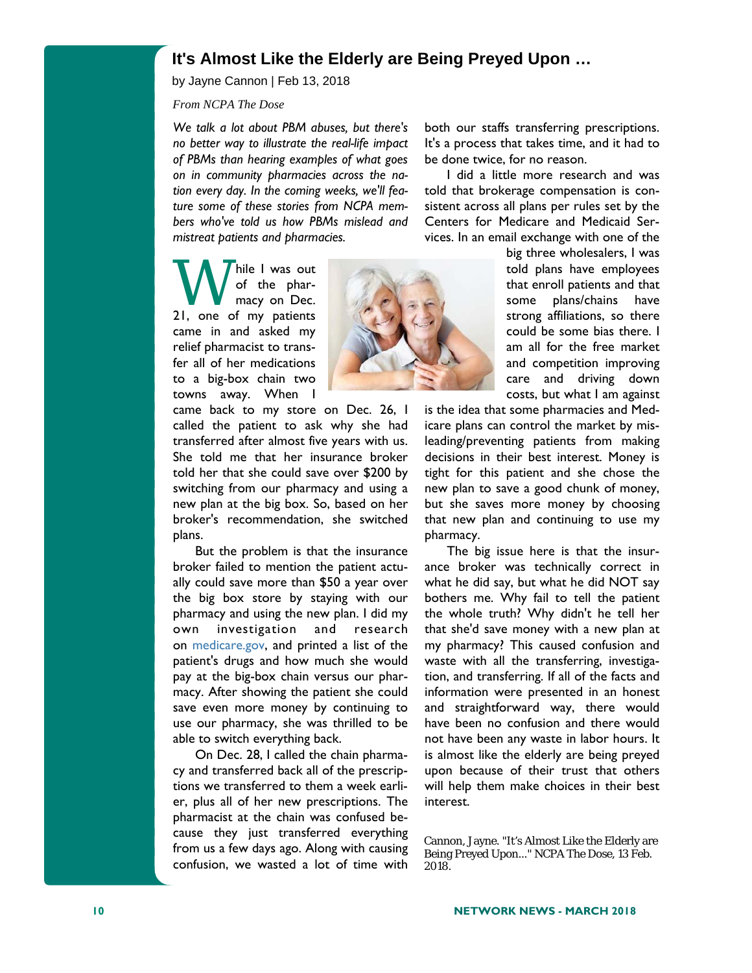### **It's Almost Like the Elderly are Being Preyed Upon …**

by Jayne Cannon | Feb 13, 2018

*From NCPA The Dose* 

*We talk a lot about PBM abuses, but there's no better way to illustrate the real-life impact of PBMs than hearing examples of what goes on in community pharmacies across the nation every day. In the coming weeks, we'll feature some of these stories from NCPA members who've told us how PBMs mislead and mistreat patients and pharmacies.* 

W hile I was out<br>of the phar-<br>21, one of my patients of the pharmacy on Dec. came in and asked my relief pharmacist to transfer all of her medications to a big-box chain two towns away. When I



came back to my store on Dec. 26, I called the patient to ask why she had transferred after almost five years with us. She told me that her insurance broker told her that she could save over \$200 by switching from our pharmacy and using a new plan at the big box. So, based on her broker's recommendation, she switched plans.

 But the problem is that the insurance broker failed to mention the patient actually could save more than \$50 a year over the big box store by staying with our pharmacy and using the new plan. I did my own investigation and research on medicare.gov, and printed a list of the patient's drugs and how much she would pay at the big-box chain versus our pharmacy. After showing the patient she could save even more money by continuing to use our pharmacy, she was thrilled to be able to switch everything back.

 On Dec. 28, I called the chain pharmacy and transferred back all of the prescriptions we transferred to them a week earlier, plus all of her new prescriptions. The pharmacist at the chain was confused because they just transferred everything from us a few days ago. Along with causing confusion, we wasted a lot of time with both our staffs transferring prescriptions. It's a process that takes time, and it had to be done twice, for no reason.

 I did a little more research and was told that brokerage compensation is consistent across all plans per rules set by the Centers for Medicare and Medicaid Services. In an email exchange with one of the

> big three wholesalers, I was told plans have employees that enroll patients and that some plans/chains have strong affiliations, so there could be some bias there. I am all for the free market and competition improving care and driving down costs, but what I am against

is the idea that some pharmacies and Medicare plans can control the market by misleading/preventing patients from making decisions in their best interest. Money is tight for this patient and she chose the new plan to save a good chunk of money, but she saves more money by choosing that new plan and continuing to use my pharmacy.

 The big issue here is that the insurance broker was technically correct in what he did say, but what he did NOT say bothers me. Why fail to tell the patient the whole truth? Why didn't he tell her that she'd save money with a new plan at my pharmacy? This caused confusion and waste with all the transferring, investigation, and transferring. If all of the facts and information were presented in an honest and straightforward way, there would have been no confusion and there would not have been any waste in labor hours. It is almost like the elderly are being preyed upon because of their trust that others will help them make choices in their best interest.

Cannon, Jayne. "It's Almost Like the Elderly are Being Preyed Upon..." *NCPA The Dose*, 13 Feb. 2018.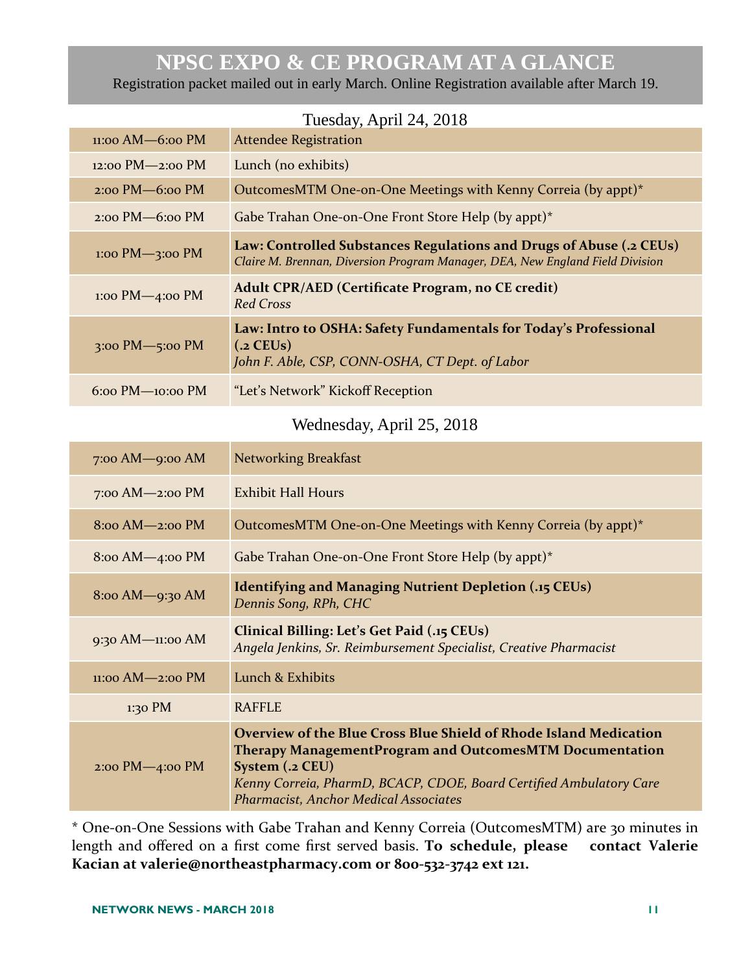## **NPSC EXPO & CE PROGRAM AT A GLANCE**

Registration packet mailed out in early March. Online Registration available after March 19.

|                                               | 100000, 110112, 2010                                                                                                                                 |
|-----------------------------------------------|------------------------------------------------------------------------------------------------------------------------------------------------------|
| $11:00$ AM $-6:00$ PM                         | <b>Attendee Registration</b>                                                                                                                         |
| $12:00$ PM $-2:00$ PM                         | Lunch (no exhibits)                                                                                                                                  |
| $2:00$ PM $-6:00$ PM                          | OutcomesMTM One-on-One Meetings with Kenny Correia (by appt)*                                                                                        |
| $2:00 \text{ PM}$ -6:00 PM                    | Gabe Trahan One-on-One Front Store Help (by appt)*                                                                                                   |
| $1:00 \text{ PM} \rightarrow 3:00 \text{ PM}$ | Law: Controlled Substances Regulations and Drugs of Abuse (.2 CEUs)<br>Claire M. Brennan, Diversion Program Manager, DEA, New England Field Division |
| $1:00$ PM $-4:00$ PM                          | Adult CPR/AED (Certificate Program, no CE credit)<br><b>Red Cross</b>                                                                                |
| 3:00 PM $-$ 5:00 PM                           | Law: Intro to OSHA: Safety Fundamentals for Today's Professional<br>$(.2$ CEUs)<br>John F. Able, CSP, CONN-OSHA, CT Dept. of Labor                   |
| $6:00$ PM $-10:00$ PM                         | "Let's Network" Kickoff Reception                                                                                                                    |

#### Tuesday, April 24, 2018

## Wednesday, April 25, 2018

| $7:00$ AM $-9:00$ AM       | <b>Networking Breakfast</b>                                                                                                                                                                                                                                                          |
|----------------------------|--------------------------------------------------------------------------------------------------------------------------------------------------------------------------------------------------------------------------------------------------------------------------------------|
| $7:00$ AM $-2:00$ PM       | Exhibit Hall Hours                                                                                                                                                                                                                                                                   |
| $8:00$ AM $-2:00$ PM       | OutcomesMTM One-on-One Meetings with Kenny Correia (by appt)*                                                                                                                                                                                                                        |
| $8:00$ AM $-4:00$ PM       | Gabe Trahan One-on-One Front Store Help (by appt) $*$                                                                                                                                                                                                                                |
| 8:00 AM-9:30 AM            | <b>Identifying and Managing Nutrient Depletion (.15 CEUs)</b><br>Dennis Song, RPh, CHC                                                                                                                                                                                               |
| 9:30 AM- $11:00$ AM        | Clinical Billing: Let's Get Paid (.15 CEUs)<br>Angela Jenkins, Sr. Reimbursement Specialist, Creative Pharmacist                                                                                                                                                                     |
| $11:00$ AM $-2:00$ PM      | Lunch & Exhibits                                                                                                                                                                                                                                                                     |
| $1:30$ PM                  | <b>RAFFLE</b>                                                                                                                                                                                                                                                                        |
| $2:00 \text{ PM}$ -4:00 PM | <b>Overview of the Blue Cross Blue Shield of Rhode Island Medication</b><br><b>Therapy ManagementProgram and OutcomesMTM Documentation</b><br>System (.2 CEU)<br>Kenny Correia, PharmD, BCACP, CDOE, Board Certified Ambulatory Care<br><b>Pharmacist, Anchor Medical Associates</b> |

\* One‐on‐One Sessions with Gabe Trahan and Kenny Correia (OutcomesMTM) are 30 minutes in length and offered on a first come first served basis. **To schedule, please contact Valerie Kacian at valerie@northeastpharmacy.com or 800‐532‐3742 ext 121.**